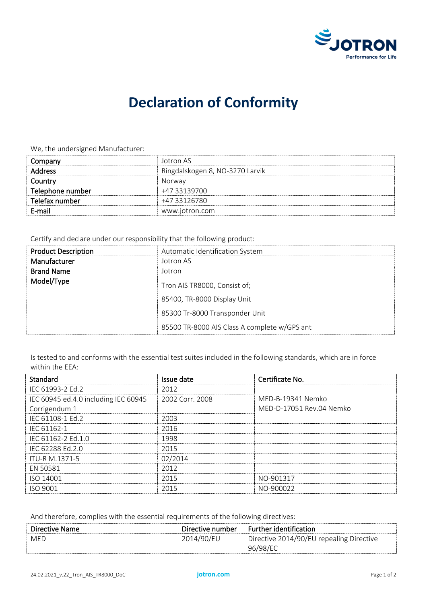

## **Declaration of Conformity**

We, the undersigned Manufacturer:

| Company          | Jotron AS                       |
|------------------|---------------------------------|
| <b>Address</b>   | Ringdalskogen 8, NO-3270 Larvik |
| Country          | Norway                          |
| Telephone number | +47 33139700                    |
| Telefax number   | +47 33126780                    |
| E-mail           | www.jotron.com                  |
|                  |                                 |

Certify and declare under our responsibility that the following product:

| <b>Product Description</b> | Automatic Identification System              |  |
|----------------------------|----------------------------------------------|--|
| Manufacturer               | Jotron AS                                    |  |
| <b>Brand Name</b>          | Jotron                                       |  |
| Model/Type                 | Tron AIS TR8000, Consist of;                 |  |
|                            | 85400, TR-8000 Display Unit                  |  |
|                            | 85300 Tr-8000 Transponder Unit               |  |
|                            | 85500 TR-8000 AIS Class A complete w/GPS ant |  |

Is tested to and conforms with the essential test suites included in the following standards, which are in force within the EEA:

| Standard                             | Issue date      | Certificate No.          |
|--------------------------------------|-----------------|--------------------------|
| IFC 61993-2 Fd.2                     | 2012            |                          |
| IEC 60945 ed.4.0 including IEC 60945 | 2002 Corr. 2008 | MED-B-19341 Nemko        |
| Corrigendum 1                        |                 | MED-D-17051 Rev.04 Nemko |
| IEC 61108-1 Ed.2                     | 2003            |                          |
| IEC 61162-1                          | 2016            |                          |
| IEC 61162-2 Ed.1.0                   | 1998            |                          |
| IEC 62288 Ed.2.0                     | 2015            |                          |
| ITU-R M.1371-5                       | 02/2014         |                          |
| EN 50581                             | 2012            |                          |
| ISO 14001                            | 2015            | NO-901317                |
| ISO 9001                             | 2015            | NO-900022                |

And therefore, complies with the essential requirements of the following directives:

| Directive Name | Directive number | Further identification                   |
|----------------|------------------|------------------------------------------|
| MED            | 2014/90/EU       | Directive 2014/90/EU repealing Directive |
|                |                  | 96/98/EC                                 |